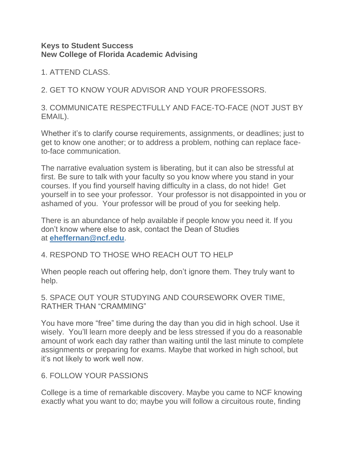## **Keys to Student Success New College of Florida Academic Advising**

1. ATTEND CLASS.

2. GET TO KNOW YOUR ADVISOR AND YOUR PROFESSORS.

3. COMMUNICATE RESPECTFULLY AND FACE-TO-FACE (NOT JUST BY EMAIL).

Whether it's to clarify course requirements, assignments, or deadlines; just to get to know one another; or to address a problem, nothing can replace faceto-face communication.

The narrative evaluation system is liberating, but it can also be stressful at first. Be sure to talk with your faculty so you know where you stand in your courses. If you find yourself having difficulty in a class, do not hide! Get yourself in to see your professor. Your professor is not disappointed in you or ashamed of you. Your professor will be proud of you for seeking help.

There is an abundance of help available if people know you need it. If you don't know where else to ask, contact the Dean of Studies at **[eheffernan@ncf.edu](mailto:eheffernan@ncf.edu)**.

## 4. RESPOND TO THOSE WHO REACH OUT TO HELP

When people reach out offering help, don't ignore them. They truly want to help.

5. SPACE OUT YOUR STUDYING AND COURSEWORK OVER TIME, RATHER THAN "CRAMMING"

You have more "free" time during the day than you did in high school. Use it wisely. You'll learn more deeply and be less stressed if you do a reasonable amount of work each day rather than waiting until the last minute to complete assignments or preparing for exams. Maybe that worked in high school, but it's not likely to work well now.

## 6. FOLLOW YOUR PASSIONS

College is a time of remarkable discovery. Maybe you came to NCF knowing exactly what you want to do; maybe you will follow a circuitous route, finding